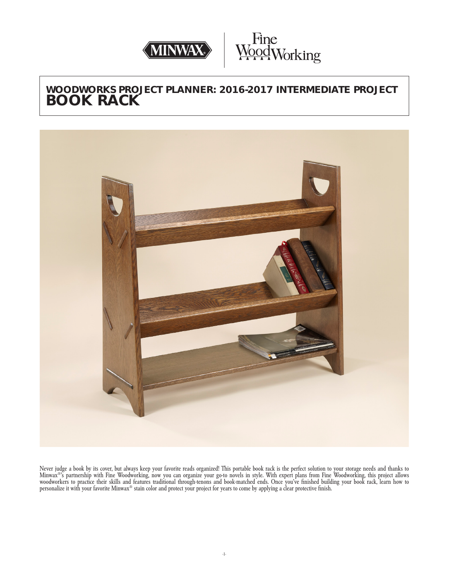



# **WOODWORKS PROJECT PLANNER: 2016-2017 INTERMEDIATE PROJECT BOOK RACK**



Never judge a book by its cover, but always keep your favorite reads organized! This portable book rack is the perfect solution to your storage needs and thanks to Minwax®'s partnership with Fine Woodworking, now you can organize your go-to novels in style. With expert plans from Fine Woodworking, this project allows woodworkers to practice their skills and features traditional through-tenons and book-matched ends. Once you've finished building your book rack, learn how to personalize it with your favorite Minwax® stain color and protect your project for years to come by applying a clear protective finish.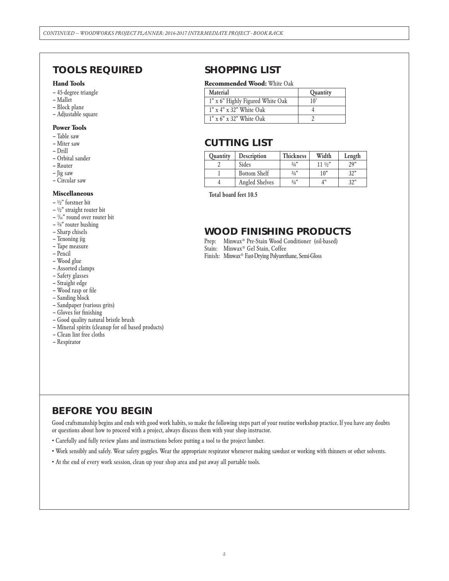## **TOOLS REQUIRED**

#### **Hand Tools**

- 45-degree triangle
- Mallet
- Block plane
- Adjustable square

#### **Power Tools**

- Table saw
- Miter saw
- Drill
- Orbital sander
- Router
- Jig saw
- Circular saw

#### **Miscellaneous**

- $-$  1/2" forstner bit
- $-$  1/2" straight router bit
- 3 /16" round over router bit
- $-$  3/4" router bushing
- Sharp chisels
- Tenoning jig
- Tape measure
- Pencil
- Wood glue
- Assorted clamps
- Safety glasses
- Straight edge
- Wood rasp or file
- Sanding block
- Sandpaper (various grits)
- Gloves for finishing
- Good quality natural bristle brush
- Mineral spirits (cleanup for oil based products)
- Clean lint free cloths
- Respirator

## **SHOPPING LIST**

#### **Recommended Wood:** White Oak

| Material                            | <b>Quantity</b> |  |
|-------------------------------------|-----------------|--|
| 1" x 6" Highly Figured White Oak    | $10^{\circ}$    |  |
| $1" \times 4" \times 32"$ White Oak |                 |  |
| $1" \times 6" \times 32"$ White Oak |                 |  |

## **CUTTING LIST**

| <b>Quantity</b> | <b>Description</b>    | <b>Thickness</b> | Width            | Length |
|-----------------|-----------------------|------------------|------------------|--------|
|                 | <b>Sides</b>          | 3/4"             | $11 \frac{1}{2}$ | 29"    |
|                 | <b>Bottom Shelf</b>   | 3/4"             | 10"              | 32"    |
|                 | <b>Angled Shelves</b> | 3/4"             |                  | 32"    |

Total board feet 10.5

## **WOOD FINISHING PRODUCTS**

- Prep: Minwax® Pre-Stain Wood Conditioner (oil-based)
- Stain: Minwax® Gel Stain, Coffee
- Finish: Minwax® Fast-Drying Polyurethane, Semi-Gloss

# **BEFORE YOU BEGIN**

Good craftsmanship begins and ends with good work habits, so make the following steps part of your routine workshop practice. If you have any doubts or questions about how to proceed with a project, always discuss them with your shop instructor.

- Carefully and fully review plans and instructions before putting a tool to the project lumber.
- Work sensibly and safely. Wear safety goggles. Wear the appropriate respirator whenever making sawdust or working with thinners or other solvents.
- At the end of every work session, clean up your shop area and put away all portable tools.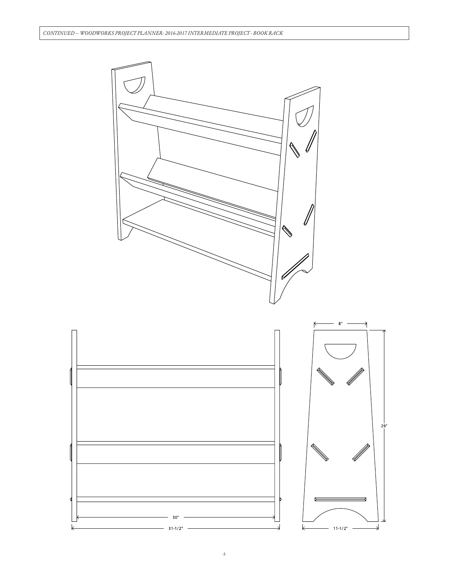

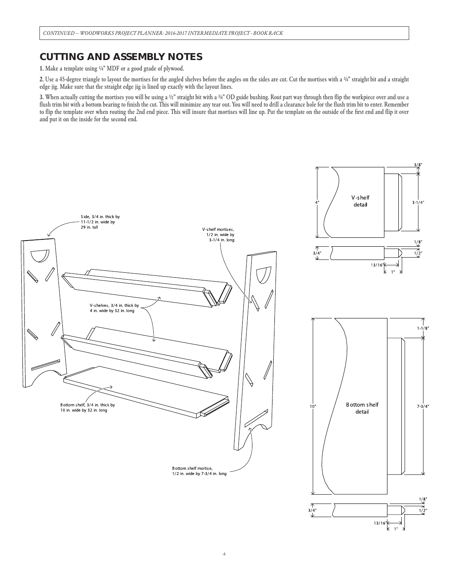## **CUTTING AND ASSEMBLY NOTES**

1. Make a template using ¼" MDF or a good grade of plywood.

2. Use a 45-degree triangle to layout the mortises for the angled shelves before the angles on the sides are cut. Cut the mortises with a 34" straight bit and a straight edge jig. Make sure that the straight edge jig is lined up exactly with the layout lines.

3. When actually cutting the mortises you will be using a ½" straight bit with a 3/4" OD guide bushing. Rout part way through then flip the workpiece over and use a flush trim bit with a bottom bearing to finish the cut. This will minimize any tear out. You will need to drill a clearance hole for the flush trim bit to enter. Remember to flip the template over when routing the 2nd end piece. This will insure that mortises will line up. Put the template on the outside of the first end and flip it over and put it on the inside for the second end.

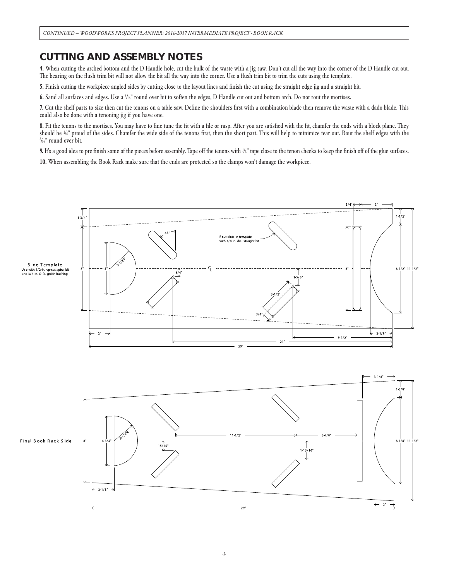## **CUTTING AND ASSEMBLY NOTES**

4. When cutting the arched bottom and the D Handle hole, cut the bulk of the waste with a jig saw. Don't cut all the way into the corner of the D Handle cut out. The bearing on the flush trim bit will not allow the bit all the way into the corner. Use a flush trim bit to trim the cuts using the template.

5. Finish cutting the workpiece angled sides by cutting close to the layout lines and finish the cut using the straight edge jig and a straight bit.

6. Sand all surfaces and edges. Use a 3/6" round over bit to soften the edges, D Handle cut out and bottom arch. Do not rout the mortises.

7. Cut the shelf parts to size then cut the tenons on a table saw. Define the shoulders first with a combination blade then remove the waste with a dado blade. This could also be done with a tenoning jig if you have one.

8. Fit the tenons to the mortises. You may have to fine tune the fit with a file or rasp. After you are satisfied with the fit, chamfer the ends with a block plane. They should be 1/4" proud of the sides. Chamfer the wide side of the tenons first, then the short part. This will help to minimize tear out. Rout the shelf edges with the 3 /16" round over bit.

9. It's a good idea to pre finish some of the pieces before assembly. Tape off the tenons with ½" tape close to the tenon cheeks to keep the finish off of the glue surfaces. 10. When assembling the Book Rack make sure that the ends are protected so the clamps won't damage the workpiece.